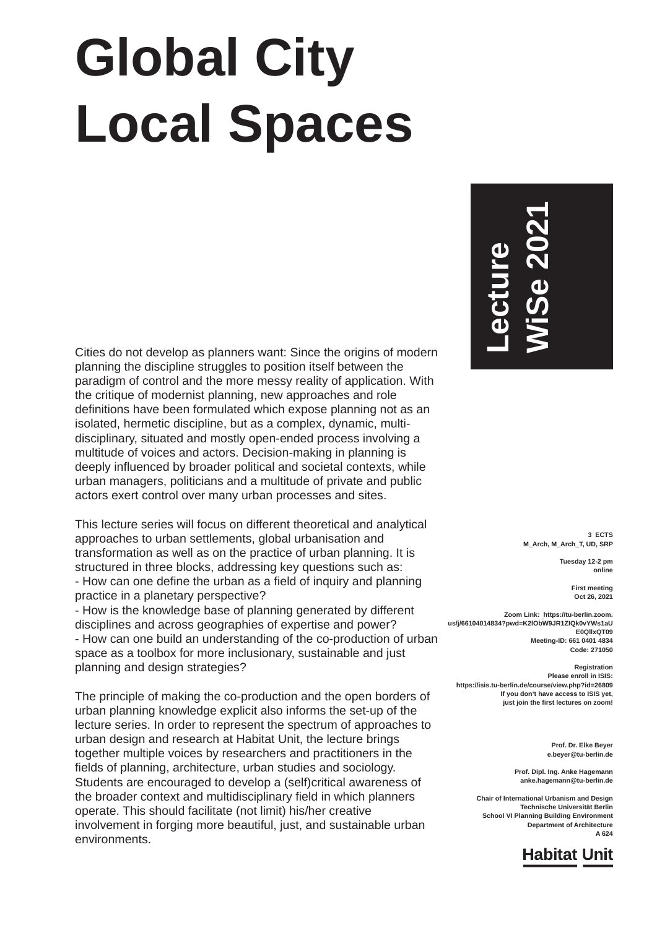# **Global City Local Spaces**

Cities do not develop as planners want: Since the origins of modern planning the discipline struggles to position itself between the paradigm of control and the more messy reality of application. With the critique of modernist planning, new approaches and role definitions have been formulated which expose planning not as an isolated, hermetic discipline, but as a complex, dynamic, multidisciplinary, situated and mostly open-ended process involving a multitude of voices and actors. Decision-making in planning is deeply influenced by broader political and societal contexts, while urban managers, politicians and a multitude of private and public actors exert control over many urban processes and sites.

This lecture series will focus on different theoretical and analytical approaches to urban settlements, global urbanisation and transformation as well as on the practice of urban planning. It is structured in three blocks, addressing key questions such as: - How can one define the urban as a field of inquiry and planning practice in a planetary perspective?

- How is the knowledge base of planning generated by different disciplines and across geographies of expertise and power? - How can one build an understanding of the co-production of urban space as a toolbox for more inclusionary, sustainable and just planning and design strategies?

The principle of making the co-production and the open borders of urban planning knowledge explicit also informs the set-up of the lecture series. In order to represent the spectrum of approaches to urban design and research at Habitat Unit, the lecture brings together multiple voices by researchers and practitioners in the fields of planning, architecture, urban studies and sociology. Students are encouraged to develop a (self)critical awareness of the broader context and multidisciplinary field in which planners operate. This should facilitate (not limit) his/her creative involvement in forging more beautiful, just, and sustainable urban environments.

**Lecture WiSe 2021**

**3 ECTS M\_Arch, M\_Arch\_T, UD, SRP**

> **Tuesday 12-2 pm online**

> > **First meeting Oct 26, 2021**

**Zoom Link: https://tu-berlin.zoom. us/j/66104014834?pwd=K2lObW9JR1ZIQk0vYWs1aU E0QllxQT09 Meeting-ID: 661 0401 4834 Code: 271050** 

**Registration Please enroll in ISIS: https://isis.tu-berlin.de/course/view.php?id=26809 If you don't have access to ISIS yet, just join the first lectures on zoom!**

> **Prof. Dr. Elke Beyer e.beyer@tu-berlin.de**

**Prof. Dipl. Ing. Anke Hagemann anke.hagemann@tu-berlin.de**

**Chair of International Urbanism and Design Technische Universität Berlin School VI Planning Building Environment Department of Architecture A 624**

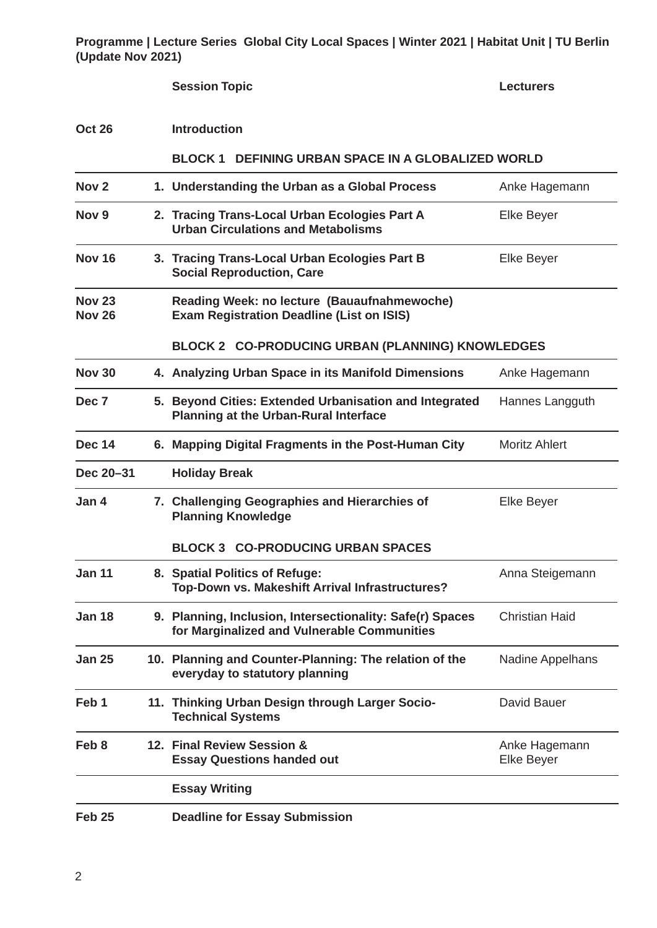**Programme | Lecture Series Global City Local Spaces | Winter 2021 | Habitat Unit | TU Berlin (Update Nov 2021)**

|                                | <b>Session Topic</b>                                                                                     | <b>Lecturers</b>            |
|--------------------------------|----------------------------------------------------------------------------------------------------------|-----------------------------|
| <b>Oct 26</b>                  | <b>Introduction</b>                                                                                      |                             |
|                                | <b>BLOCK 1 DEFINING URBAN SPACE IN A GLOBALIZED WORLD</b>                                                |                             |
| Nov <sub>2</sub>               | 1. Understanding the Urban as a Global Process                                                           | Anke Hagemann               |
| Nov 9                          | 2. Tracing Trans-Local Urban Ecologies Part A<br><b>Urban Circulations and Metabolisms</b>               | <b>Elke Beyer</b>           |
| <b>Nov 16</b>                  | 3. Tracing Trans-Local Urban Ecologies Part B<br><b>Social Reproduction, Care</b>                        | Elke Beyer                  |
| <b>Nov 23</b><br><b>Nov 26</b> | Reading Week: no lecture (Bauaufnahmewoche)<br><b>Exam Registration Deadline (List on ISIS)</b>          |                             |
|                                | BLOCK 2 CO-PRODUCING URBAN (PLANNING) KNOWLEDGES                                                         |                             |
| <b>Nov 30</b>                  | 4. Analyzing Urban Space in its Manifold Dimensions                                                      | Anke Hagemann               |
| Dec 7                          | 5. Beyond Cities: Extended Urbanisation and Integrated<br><b>Planning at the Urban-Rural Interface</b>   | Hannes Langguth             |
| <b>Dec 14</b>                  | 6. Mapping Digital Fragments in the Post-Human City                                                      | <b>Moritz Ahlert</b>        |
| Dec 20-31                      | <b>Holiday Break</b>                                                                                     |                             |
| Jan 4                          | 7. Challenging Geographies and Hierarchies of<br><b>Planning Knowledge</b>                               | Elke Beyer                  |
|                                | <b>BLOCK 3 CO-PRODUCING URBAN SPACES</b>                                                                 |                             |
| Jan 11                         | 8. Spatial Politics of Refuge:<br>Top-Down vs. Makeshift Arrival Infrastructures?                        | Anna Steigemann             |
| <b>Jan 18</b>                  | 9. Planning, Inclusion, Intersectionality: Safe(r) Spaces<br>for Marginalized and Vulnerable Communities | <b>Christian Haid</b>       |
| <b>Jan 25</b>                  | 10. Planning and Counter-Planning: The relation of the<br>everyday to statutory planning                 | Nadine Appelhans            |
| Feb 1                          | 11. Thinking Urban Design through Larger Socio-<br><b>Technical Systems</b>                              | David Bauer                 |
| Feb 8                          | 12. Final Review Session &<br><b>Essay Questions handed out</b>                                          | Anke Hagemann<br>Elke Beyer |
|                                | <b>Essay Writing</b>                                                                                     |                             |
| <b>Feb 25</b>                  | <b>Deadline for Essay Submission</b>                                                                     |                             |